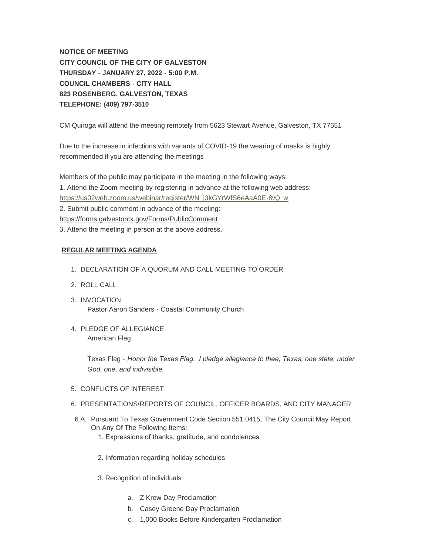**NOTICE OF MEETING CITY COUNCIL OF THE CITY OF GALVESTON THURSDAY - JANUARY 27, 2022 - 5:00 P.M. COUNCIL CHAMBERS - CITY HALL 823 ROSENBERG, GALVESTON, TEXAS TELEPHONE: (409) 797-3510**

CM Quiroga will attend the meeting remotely from 5623 Stewart Avenue, Galveston, TX 77551

Due to the increase in infections with variants of COVID-19 the wearing of masks is highly recommended if you are attending the meetings

Members of the public may participate in the meeting in the following ways: [1. Attend the Zoom meeting by registering in advance at the following web ad](https://us02web.zoom.us/webinar/register/WN_j3kGYrWfS6eAaA0E-8vQ_w)dress: https://us02web.zoom.us/webinar/register/WN\_j3kGYrWfS6eAaA0E-8vQ\_w 2. Submit public comment in advance of the meeting: https://forms.galvestontx.gov/Forms/PublicComment 3. Attend the meeting in person at the above address.

# **REGULAR MEETING AGENDA**

- 1. DECLARATION OF A QUORUM AND CALL MEETING TO ORDER
- 2. ROLL CALL
- 3. INVOCATION Pastor Aaron Sanders - Coastal Community Church
- 4. PLEDGE OF ALLEGIANCE American Flag

Texas Flag - *Honor the Texas Flag. I pledge allegiance to thee, Texas, one state, under God, one, and indivisible.*

- 5. CONFLICTS OF INTEREST
- 6. PRESENTATIONS/REPORTS OF COUNCIL, OFFICER BOARDS, AND CITY MANAGER
- 6.A. Pursuant To Texas Government Code Section 551.0415, The City Council May Report On Any Of The Following Items:
	- 1. Expressions of thanks, gratitude, and condolences
	- 2. Information regarding holiday schedules
	- 3. Recognition of individuals
		- a. Z Krew Day Proclamation
		- b. Casey Greene Day Proclamation
		- c. 1,000 Books Before Kindergarten Proclamation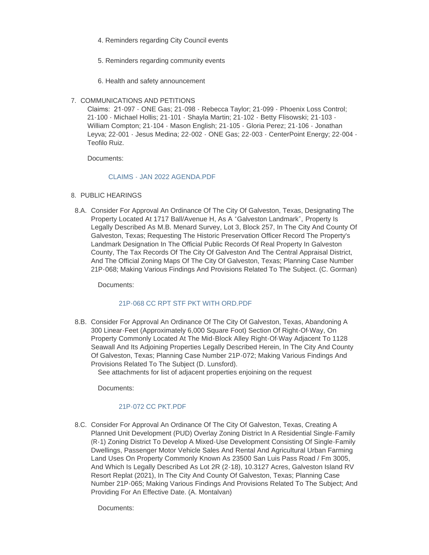- 4. Reminders regarding City Council events
- 5. Reminders regarding community events
- 6. Health and safety announcement
- 7. COMMUNICATIONS AND PETITIONS

Claims: 21-097 - ONE Gas; 21-098 - Rebecca Taylor; 21-099 - Phoenix Loss Control; 21-100 - Michael Hollis; 21-101 - Shayla Martin; 21-102 - Betty Flisowski; 21-103 - William Compton; 21-104 - Mason English; 21-105 - Gloria Perez; 21-106 - Jonathan Leyva; 22-001 - Jesus Medina; 22-002 - ONE Gas; 22-003 - CenterPoint Energy; 22-004 - Teofilo Ruiz.

Documents:

# [CLAIMS - JAN 2022 AGENDA.PDF](https://www.galvestontx.gov/AgendaCenter/ViewFile/Item/13626?fileID=31897)

- 8. PUBLIC HEARINGS
- 8.A. Consider For Approval An Ordinance Of The City Of Galveston, Texas, Designating The Property Located At 1717 Ball/Avenue H, As A "Galveston Landmark", Property Is Legally Described As M.B. Menard Survey, Lot 3, Block 257, In The City And County Of Galveston, Texas; Requesting The Historic Preservation Officer Record The Property's Landmark Designation In The Official Public Records Of Real Property In Galveston County, The Tax Records Of The City Of Galveston And The Central Appraisal District, And The Official Zoning Maps Of The City Of Galveston, Texas; Planning Case Number 21P-068; Making Various Findings And Provisions Related To The Subject. (C. Gorman)

Documents:

# [21P-068 CC RPT STF PKT WITH ORD.PDF](https://www.galvestontx.gov/AgendaCenter/ViewFile/Item/13550?fileID=31812)

8.B. Consider For Approval An Ordinance Of The City Of Galveston, Texas, Abandoning A 300 Linear-Feet (Approximately 6,000 Square Foot) Section Of Right-Of-Way, On Property Commonly Located At The Mid-Block Alley Right-Of-Way Adjacent To 1128 Seawall And Its Adjoining Properties Legally Described Herein, In The City And County Of Galveston, Texas; Planning Case Number 21P-072; Making Various Findings And Provisions Related To The Subject (D. Lunsford).

See attachments for list of adjacent properties enjoining on the request

Documents:

# [21P-072 CC PKT.PDF](https://www.galvestontx.gov/AgendaCenter/ViewFile/Item/13602?fileID=31860)

8.C. Consider For Approval An Ordinance Of The City Of Galveston, Texas, Creating A Planned Unit Development (PUD) Overlay Zoning District In A Residential Single-Family (R-1) Zoning District To Develop A Mixed-Use Development Consisting Of Single-Family Dwellings, Passenger Motor Vehicle Sales And Rental And Agricultural Urban Farming Land Uses On Property Commonly Known As 23500 San Luis Pass Road / Fm 3005, And Which Is Legally Described As Lot 2R (2-18), 10.3127 Acres, Galveston Island RV Resort Replat (2021), In The City And County Of Galveston, Texas; Planning Case Number 21P-065; Making Various Findings And Provisions Related To The Subject; And Providing For An Effective Date. (A. Montalvan)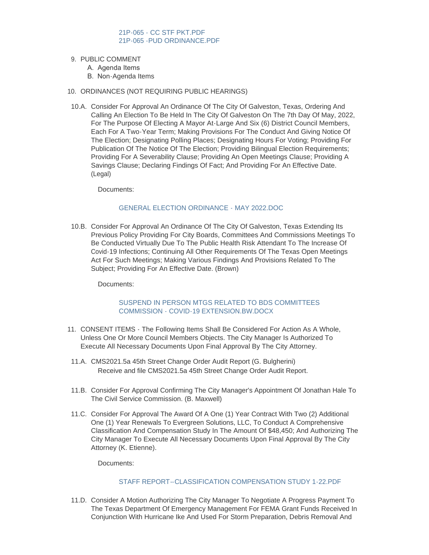# [21P-065 - CC STF PKT.PDF](https://www.galvestontx.gov/AgendaCenter/ViewFile/Item/13586?fileID=31843) [21P-065 -PUD ORDINANCE.PDF](https://www.galvestontx.gov/AgendaCenter/ViewFile/Item/13586?fileID=31844)

- 9. PUBLIC COMMENT
	- A. Agenda Items
	- B. Non-Agenda Items
- 10. ORDINANCES (NOT REQUIRING PUBLIC HEARINGS)
- 10.A. Consider For Approval An Ordinance Of The City Of Galveston, Texas, Ordering And Calling An Election To Be Held In The City Of Galveston On The 7th Day Of May, 2022, For The Purpose Of Electing A Mayor At-Large And Six (6) District Council Members, Each For A Two-Year Term; Making Provisions For The Conduct And Giving Notice Of The Election; Designating Polling Places; Designating Hours For Voting; Providing For Publication Of The Notice Of The Election; Providing Bilingual Election Requirements; Providing For A Severability Clause; Providing An Open Meetings Clause; Providing A Savings Clause; Declaring Findings Of Fact; And Providing For An Effective Date. (Legal)

Documents:

## [GENERAL ELECTION ORDINANCE - MAY 2022.DOC](https://www.galvestontx.gov/AgendaCenter/ViewFile/Item/13606?fileID=32412)

10.B. Consider For Approval An Ordinance Of The City Of Galveston, Texas Extending Its Previous Policy Providing For City Boards, Committees And Commissions Meetings To Be Conducted Virtually Due To The Public Health Risk Attendant To The Increase Of Covid-19 Infections; Continuing All Other Requirements Of The Texas Open Meetings Act For Such Meetings; Making Various Findings And Provisions Related To The Subject; Providing For An Effective Date. (Brown)

Documents:

# [SUSPEND IN PERSON MTGS RELATED TO BDS COMMITTEES](https://www.galvestontx.gov/AgendaCenter/ViewFile/Item/13623?fileID=31895)  COMMISSION - COVID-19 EXTENSION.BW.DOCX

- 11. CONSENT ITEMS The Following Items Shall Be Considered For Action As A Whole, Unless One Or More Council Members Objects. The City Manager Is Authorized To Execute All Necessary Documents Upon Final Approval By The City Attorney.
- CMS2021.5a 45th Street Change Order Audit Report (G. Bulgherini) 11.A. Receive and file CMS2021.5a 45th Street Change Order Audit Report.
- 11.B. Consider For Approval Confirming The City Manager's Appointment Of Jonathan Hale To The Civil Service Commission. (B. Maxwell)
- 11.C. Consider For Approval The Award Of A One (1) Year Contract With Two (2) Additional One (1) Year Renewals To Evergreen Solutions, LLC, To Conduct A Comprehensive Classification And Compensation Study In The Amount Of \$48,450; And Authorizing The City Manager To Execute All Necessary Documents Upon Final Approval By The City Attorney (K. Etienne).

Documents:

# STAFF REPORT--CLASSIFICATION COMPENSATION STUDY 1-22 PDF

11.D. Consider A Motion Authorizing The City Manager To Negotiate A Progress Payment To The Texas Department Of Emergency Management For FEMA Grant Funds Received In Conjunction With Hurricane Ike And Used For Storm Preparation, Debris Removal And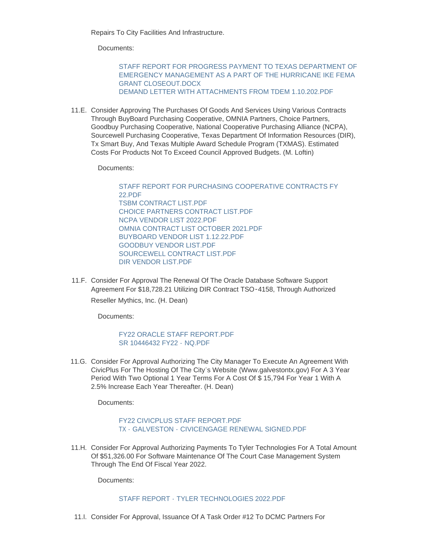Repairs To City Facilities And Infrastructure.

Documents:

[STAFF REPORT FOR PROGRESS PAYMENT TO TEXAS DEPARTMENT OF](https://www.galvestontx.gov/AgendaCenter/ViewFile/Item/13625?fileID=31898)  EMERGENCY MANAGEMENT AS A PART OF THE HURRICANE IKE FEMA GRANT CLOSEOUT.DOCX [DEMAND LETTER WITH ATTACHMENTS FROM TDEM 1.10.202.PDF](https://www.galvestontx.gov/AgendaCenter/ViewFile/Item/13625?fileID=31907)

11.E. Consider Approving The Purchases Of Goods And Services Using Various Contracts Through BuyBoard Purchasing Cooperative, OMNIA Partners, Choice Partners, Goodbuy Purchasing Cooperative, National Cooperative Purchasing Alliance (NCPA), Sourcewell Purchasing Cooperative, Texas Department Of Information Resources (DIR), Tx Smart Buy, And Texas Multiple Award Schedule Program (TXMAS). Estimated Costs For Products Not To Exceed Council Approved Budgets. (M. Loftin)

Documents:

[STAFF REPORT FOR PURCHASING COOPERATIVE CONTRACTS FY](https://www.galvestontx.gov/AgendaCenter/ViewFile/Item/13555?fileID=31820)  22.PDF [TSBM CONTRACT LIST.PDF](https://www.galvestontx.gov/AgendaCenter/ViewFile/Item/13555?fileID=31821) [CHOICE PARTNERS CONTRACT LIST.PDF](https://www.galvestontx.gov/AgendaCenter/ViewFile/Item/13555?fileID=31822) [NCPA VENDOR LIST 2022.PDF](https://www.galvestontx.gov/AgendaCenter/ViewFile/Item/13555?fileID=31823) [OMNIA CONTRACT LIST OCTOBER 2021.PDF](https://www.galvestontx.gov/AgendaCenter/ViewFile/Item/13555?fileID=31824) [BUYBOARD VENDOR LIST 1.12.22.PDF](https://www.galvestontx.gov/AgendaCenter/ViewFile/Item/13555?fileID=31825) [GOODBUY VENDOR LIST.PDF](https://www.galvestontx.gov/AgendaCenter/ViewFile/Item/13555?fileID=31826) [SOURCEWELL CONTRACT LIST.PDF](https://www.galvestontx.gov/AgendaCenter/ViewFile/Item/13555?fileID=31827) [DIR VENDOR LIST.PDF](https://www.galvestontx.gov/AgendaCenter/ViewFile/Item/13555?fileID=31828)

11.F. Consider For Approval The Renewal Of The Oracle Database Software Support Agreement For \$18,728.21 Utilizing DIR Contract TSO‐4158, Through Authorized Reseller Mythics, Inc. (H. Dean)

Documents:

#### [FY22 ORACLE STAFF REPORT.PDF](https://www.galvestontx.gov/AgendaCenter/ViewFile/Item/13585?fileID=31841) [SR 10446432 FY22 -](https://www.galvestontx.gov/AgendaCenter/ViewFile/Item/13585?fileID=31842) NQ.PDF

11.G. Consider For Approval Authorizing The City Manager To Execute An Agreement With CivicPlus For The Hosting Of The City's Website (Www.galvestontx.gov) For A 3 Year Period With Two Optional 1 Year Terms For A Cost Of \$ 15,794 For Year 1 With A 2.5% Increase Each Year Thereafter. (H. Dean)

Documents:

# **FY22 CIVICPLUS STAFF REPORT PDF** TX - GALVESTON - [CIVICENGAGE RENEWAL SIGNED.PDF](https://www.galvestontx.gov/AgendaCenter/ViewFile/Item/13614?fileID=31875)

11.H. Consider For Approval Authorizing Payments To Tyler Technologies For A Total Amount Of \$51,326.00 For Software Maintenance Of The Court Case Management System Through The End Of Fiscal Year 2022.

Documents:

#### STAFF REPORT - TYLER TECHNOLOGIES 2022 PDE

11. Consider For Approval, Issuance Of A Task Order #12 To DCMC Partners For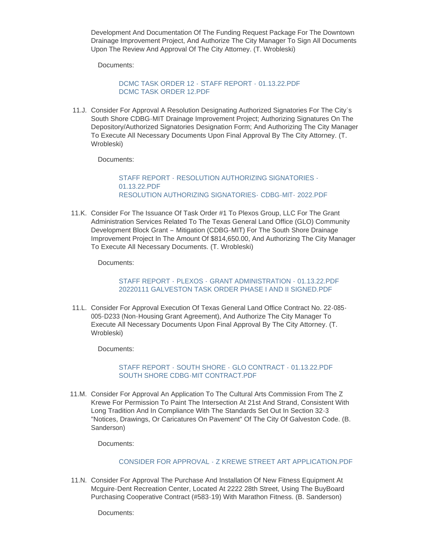Development And Documentation Of The Funding Request Package For The Downtown Drainage Improvement Project, And Authorize The City Manager To Sign All Documents Upon The Review And Approval Of The City Attorney. (T. Wrobleski)

Documents:

[DCMC TASK ORDER 12 -](https://www.galvestontx.gov/AgendaCenter/ViewFile/Item/13576?fileID=31904) STAFF REPORT - 01.13.22.PDF [DCMC TASK ORDER 12.PDF](https://www.galvestontx.gov/AgendaCenter/ViewFile/Item/13576?fileID=31837)

11.J. Consider For Approval A Resolution Designating Authorized Signatories For The City's South Shore CDBG-MIT Drainage Improvement Project; Authorizing Signatures On The Depository/Authorized Signatories Designation Form; And Authorizing The City Manager To Execute All Necessary Documents Upon Final Approval By The City Attorney. (T. Wrobleski)

Documents:

STAFF REPORT - [RESOLUTION AUTHORIZING SIGNATORIES -](https://www.galvestontx.gov/AgendaCenter/ViewFile/Item/13581?fileID=31835) 01.13.22.PDF [RESOLUTION AUTHORIZING SIGNATORIES-](https://www.galvestontx.gov/AgendaCenter/ViewFile/Item/13581?fileID=31836) CDBG-MIT- 2022.PDF

11.K. Consider For The Issuance Of Task Order #1 To Plexos Group, LLC For The Grant Administration Services Related To The Texas General Land Office (GLO) Community Development Block Grant – Mitigation (CDBG-MIT) For The South Shore Drainage Improvement Project In The Amount Of \$814,650.00, And Authorizing The City Manager To Execute All Necessary Documents. (T. Wrobleski)

Documents:

STAFF REPORT - PLEXOS - [GRANT ADMINISTRATION -](https://www.galvestontx.gov/AgendaCenter/ViewFile/Item/13580?fileID=31906) 01.13.22.PDF [20220111 GALVESTON TASK ORDER PHASE I AND II SIGNED.PDF](https://www.galvestontx.gov/AgendaCenter/ViewFile/Item/13580?fileID=31834)

11.L. Consider For Approval Execution Of Texas General Land Office Contract No. 22-085-005-D233 (Non-Housing Grant Agreement), And Authorize The City Manager To Execute All Necessary Documents Upon Final Approval By The City Attorney. (T. Wrobleski)

Documents:

STAFF REPORT - SOUTH SHORE - [GLO CONTRACT -](https://www.galvestontx.gov/AgendaCenter/ViewFile/Item/13579?fileID=31905) 01.13.22.PDF [SOUTH SHORE CDBG-MIT CONTRACT.PDF](https://www.galvestontx.gov/AgendaCenter/ViewFile/Item/13579?fileID=31833)

11.M. Consider For Approval An Application To The Cultural Arts Commission From The Z Krewe For Permission To Paint The Intersection At 21st And Strand, Consistent With Long Tradition And In Compliance With The Standards Set Out In Section 32-3 "Notices, Drawings, Or Caricatures On Pavement" Of The City Of Galveston Code. (B. Sanderson)

Documents:

# [CONSIDER FOR APPROVAL - Z KREWE STREET ART APPLICATION.PDF](https://www.galvestontx.gov/AgendaCenter/ViewFile/Item/13577?fileID=31831)

11.N. Consider For Approval The Purchase And Installation Of New Fitness Equipment At Mcguire-Dent Recreation Center, Located At 2222 28th Street, Using The BuyBoard Purchasing Cooperative Contract (#583-19) With Marathon Fitness. (B. Sanderson)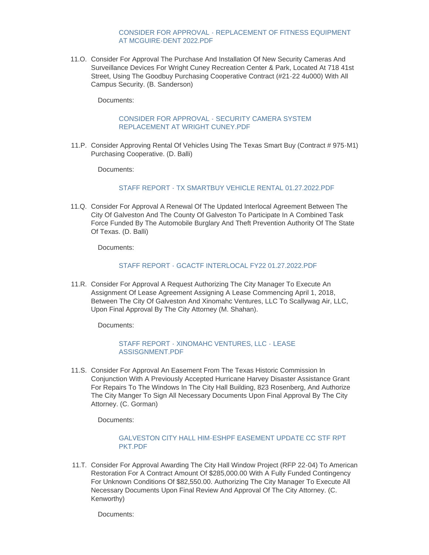# [CONSIDER FOR APPROVAL - REPLACEMENT OF FITNESS EQUIPMENT](https://www.galvestontx.gov/AgendaCenter/ViewFile/Item/13548?fileID=31861)  AT MCGUIRE-DENT 2022.PDF

11.O. Consider For Approval The Purchase And Installation Of New Security Cameras And Surveillance Devices For Wright Cuney Recreation Center & Park, Located At 718 41st Street, Using The Goodbuy Purchasing Cooperative Contract (#21-22 4u000) With All Campus Security. (B. Sanderson)

Documents:

#### [CONSIDER FOR APPROVAL - SECURITY CAMERA SYSTEM](https://www.galvestontx.gov/AgendaCenter/ViewFile/Item/13578?fileID=31868)  REPLACEMENT AT WRIGHT CUNEY.PDF

11.P. Consider Approving Rental Of Vehicles Using The Texas Smart Buy (Contract # 975-M1) Purchasing Cooperative. (D. Balli)

Documents:

#### [STAFF REPORT - TX SMARTBUY VEHICLE RENTAL 01.27.2022.PDF](https://www.galvestontx.gov/AgendaCenter/ViewFile/Item/13598?fileID=31877)

11.Q. Consider For Approval A Renewal Of The Updated Interlocal Agreement Between The City Of Galveston And The County Of Galveston To Participate In A Combined Task Force Funded By The Automobile Burglary And Theft Prevention Authority Of The State Of Texas. (D. Balli)

Documents:

## STAFF REPORT - GCACTF INTERLOCAL FY22 01 27 2022 PDF

11.R. Consider For Approval A Request Authorizing The City Manager To Execute An Assignment Of Lease Agreement Assigning A Lease Commencing April 1, 2018, Between The City Of Galveston And Xinomahc Ventures, LLC To Scallywag Air, LLC, Upon Final Approval By The City Attorney (M. Shahan).

Documents:

# [STAFF REPORT - XINOMAHC VENTURES, LLC - LEASE](https://www.galvestontx.gov/AgendaCenter/ViewFile/Item/13549?fileID=31869)  ASSISGNMENT.PDF

11.S. Consider For Approval An Easement From The Texas Historic Commission In Conjunction With A Previously Accepted Hurricane Harvey Disaster Assistance Grant For Repairs To The Windows In The City Hall Building, 823 Rosenberg, And Authorize The City Manger To Sign All Necessary Documents Upon Final Approval By The City Attorney. (C. Gorman)

Documents:

#### [GALVESTON CITY HALL HIM-ESHPF EASEMENT UPDATE CC STF RPT](https://www.galvestontx.gov/AgendaCenter/ViewFile/Item/13551?fileID=31813)  PKT PDF

11.T. Consider For Approval Awarding The City Hall Window Project (RFP 22-04) To American Restoration For A Contract Amount Of \$285,000.00 With A Fully Funded Contingency For Unknown Conditions Of \$82,550.00. Authorizing The City Manager To Execute All Necessary Documents Upon Final Review And Approval Of The City Attorney. (C. Kenworthy)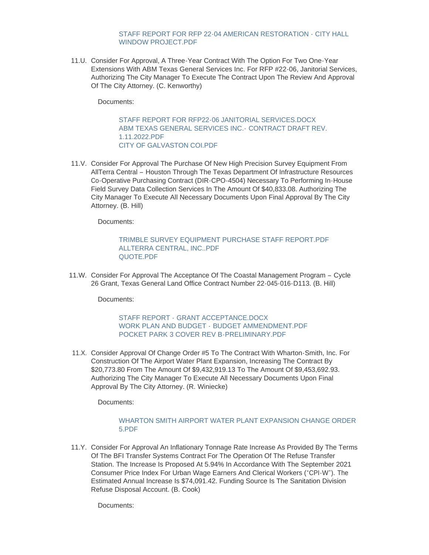#### [STAFF REPORT FOR RFP 22-04 AMERICAN RESTORATION - CITY HALL](https://www.galvestontx.gov/AgendaCenter/ViewFile/Item/13582?fileID=31838)  WINDOW PROJECT.PDF

11.U. Consider For Approval, A Three-Year Contract With The Option For Two One-Year Extensions With ABM Texas General Services Inc. For RFP #22-06, Janitorial Services, Authorizing The City Manager To Execute The Contract Upon The Review And Approval Of The City Attorney. (C. Kenworthy)

Documents:

[STAFF REPORT FOR RFP22-06 JANITORIAL SERVICES.DOCX](https://www.galvestontx.gov/AgendaCenter/ViewFile/Item/13553?fileID=31814) [ABM TEXAS GENERAL SERVICES INC.-](https://www.galvestontx.gov/AgendaCenter/ViewFile/Item/13553?fileID=31815) CONTRACT DRAFT REV. 1.11.2022.PDF [CITY OF GALVASTON COI.PDF](https://www.galvestontx.gov/AgendaCenter/ViewFile/Item/13553?fileID=31816)

11.V. Consider For Approval The Purchase Of New High Precision Survey Equipment From AllTerra Central – Houston Through The Texas Department Of Infrastructure Resources Co-Operative Purchasing Contract (DIR-CPO-4504) Necessary To Performing In-House Field Survey Data Collection Services In The Amount Of \$40,833.08. Authorizing The City Manager To Execute All Necessary Documents Upon Final Approval By The City Attorney. (B. Hill)

Documents:

## [TRIMBLE SURVEY EQUIPMENT PURCHASE STAFF REPORT.PDF](https://www.galvestontx.gov/AgendaCenter/ViewFile/Item/13494?fileID=31788) [ALLTERRA CENTRAL, INC..PDF](https://www.galvestontx.gov/AgendaCenter/ViewFile/Item/13494?fileID=31789) [QUOTE.PDF](https://www.galvestontx.gov/AgendaCenter/ViewFile/Item/13494?fileID=31790)

11.W. Consider For Approval The Acceptance Of The Coastal Management Program - Cycle 26 Grant, Texas General Land Office Contract Number 22-045-016-D113. (B. Hill)

Documents:

# STAFF REPORT - [GRANT ACCEPTANCE.DOCX](https://www.galvestontx.gov/AgendaCenter/ViewFile/Item/13608?fileID=31865) WORK PLAN AND BUDGET - [BUDGET AMMENDMENT.PDF](https://www.galvestontx.gov/AgendaCenter/ViewFile/Item/13608?fileID=31866) [POCKET PARK 3 COVER REV B-PRELIMINARY.PDF](https://www.galvestontx.gov/AgendaCenter/ViewFile/Item/13608?fileID=31867)

11.X. Consider Approval Of Change Order #5 To The Contract With Wharton-Smith, Inc. For Construction Of The Airport Water Plant Expansion, Increasing The Contract By \$20,773.80 From The Amount Of \$9,432,919.13 To The Amount Of \$9,453,692.93. Authorizing The City Manager To Execute All Necessary Documents Upon Final Approval By The City Attorney. (R. Winiecke)

Documents:

# [WHARTON SMITH AIRPORT WATER PLANT EXPANSION CHANGE ORDER](https://www.galvestontx.gov/AgendaCenter/ViewFile/Item/13584?fileID=31840)  5.PDF

11.Y. Consider For Approval An Inflationary Tonnage Rate Increase As Provided By The Terms Of The BFI Transfer Systems Contract For The Operation Of The Refuse Transfer Station. The Increase Is Proposed At 5.94% In Accordance With The September 2021 Consumer Price Index For Urban Wage Earners And Clerical Workers ("CPI-W"). The Estimated Annual Increase Is \$74,091.42. Funding Source Is The Sanitation Division Refuse Disposal Account. (B. Cook)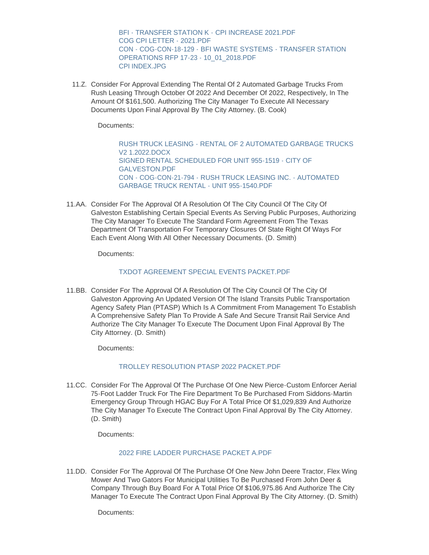[BFI - TRANSFER STATION K - CPI INCREASE 2021.PDF](https://www.galvestontx.gov/AgendaCenter/ViewFile/Item/13587?fileID=31845) [COG CPI LETTER - 2021.PDF](https://www.galvestontx.gov/AgendaCenter/ViewFile/Item/13587?fileID=31846) [CON - COG-CON-18-129 - BFI WASTE SYSTEMS - TRANSFER STATION](https://www.galvestontx.gov/AgendaCenter/ViewFile/Item/13587?fileID=31847)  OPERATIONS RFP 17-23 - 10\_01\_2018.PDF [CPI INDEX.JPG](https://www.galvestontx.gov/AgendaCenter/ViewFile/Item/13587?fileID=31848)

11.Z. Consider For Approval Extending The Rental Of 2 Automated Garbage Trucks From Rush Leasing Through October Of 2022 And December Of 2022, Respectively, In The Amount Of \$161,500. Authorizing The City Manager To Execute All Necessary Documents Upon Final Approval By The City Attorney. (B. Cook)

Documents:

[RUSH TRUCK LEASING - RENTAL OF 2 AUTOMATED GARBAGE TRUCKS](https://www.galvestontx.gov/AgendaCenter/ViewFile/Item/13604?fileID=31899)  V2 1.2022.DOCX [SIGNED RENTAL SCHEDULED FOR UNIT 955-1519 - CITY OF](https://www.galvestontx.gov/AgendaCenter/ViewFile/Item/13604?fileID=31900)  GALVESTON.PDF [CON - COG-CON-21-794 - RUSH TRUCK LEASING INC. - AUTOMATED](https://www.galvestontx.gov/AgendaCenter/ViewFile/Item/13604?fileID=31901)  GARBAGE TRUCK RENTAL - UNIT 955-1540.PDF

11.AA. Consider For The Approval Of A Resolution Of The City Council Of The City Of Galveston Establishing Certain Special Events As Serving Public Purposes, Authorizing The City Manager To Execute The Standard Form Agreement From The Texas Department Of Transportation For Temporary Closures Of State Right Of Ways For Each Event Along With All Other Necessary Documents. (D. Smith)

Documents:

# [TXDOT AGREEMENT SPECIAL EVENTS PACKET.PDF](https://www.galvestontx.gov/AgendaCenter/ViewFile/Item/13597?fileID=31856)

11.BB. Consider For The Approval Of A Resolution Of The City Council Of The City Of Galveston Approving An Updated Version Of The Island Transits Public Transportation Agency Safety Plan (PTASP) Which Is A Commitment From Management To Establish A Comprehensive Safety Plan To Provide A Safe And Secure Transit Rail Service And Authorize The City Manager To Execute The Document Upon Final Approval By The City Attorney. (D. Smith)

Documents:

# [TROLLEY RESOLUTION PTASP 2022 PACKET.PDF](https://www.galvestontx.gov/AgendaCenter/ViewFile/Item/13600?fileID=31859)

11.CC. Consider For The Approval Of The Purchase Of One New Pierce-Custom Enforcer Aerial 75-Foot Ladder Truck For The Fire Department To Be Purchased From Siddons-Martin Emergency Group Through HGAC Buy For A Total Price Of \$1,029,839 And Authorize The City Manager To Execute The Contract Upon Final Approval By The City Attorney. (D. Smith)

Documents:

# [2022 FIRE LADDER PURCHASE PACKET A.PDF](https://www.galvestontx.gov/AgendaCenter/ViewFile/Item/13613?fileID=31889)

11.DD. Consider For The Approval Of The Purchase Of One New John Deere Tractor, Flex Wing Mower And Two Gators For Municipal Utilities To Be Purchased From John Deer & Company Through Buy Board For A Total Price Of \$106,975.86 And Authorize The City Manager To Execute The Contract Upon Final Approval By The City Attorney. (D. Smith)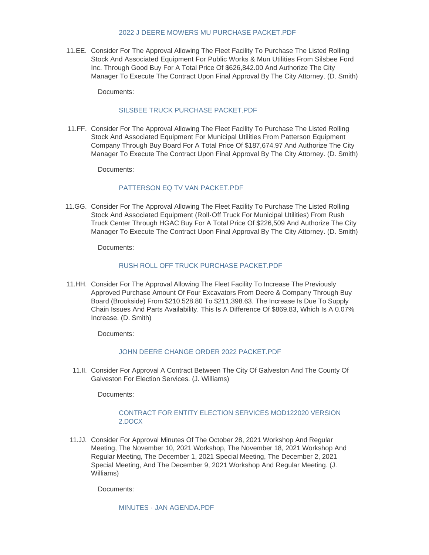#### [2022 J DEERE MOWERS MU PURCHASE PACKET.PDF](https://www.galvestontx.gov/AgendaCenter/ViewFile/Item/13594?fileID=31853)

11.EE. Consider For The Approval Allowing The Fleet Facility To Purchase The Listed Rolling Stock And Associated Equipment For Public Works & Mun Utilities From Silsbee Ford Inc. Through Good Buy For A Total Price Of \$626,842.00 And Authorize The City Manager To Execute The Contract Upon Final Approval By The City Attorney. (D. Smith)

Documents:

#### SILSBEE TRUCK PURCHASE PACKET PDF

11.FF. Consider For The Approval Allowing The Fleet Facility To Purchase The Listed Rolling Stock And Associated Equipment For Municipal Utilities From Patterson Equipment Company Through Buy Board For A Total Price Of \$187,674.97 And Authorize The City Manager To Execute The Contract Upon Final Approval By The City Attorney. (D. Smith)

Documents:

#### PATTERSON FO TV VAN PACKET PDF

11.GG. Consider For The Approval Allowing The Fleet Facility To Purchase The Listed Rolling Stock And Associated Equipment (Roll-Off Truck For Municipal Utilities) From Rush Truck Center Through HGAC Buy For A Total Price Of \$226,509 And Authorize The City Manager To Execute The Contract Upon Final Approval By The City Attorney. (D. Smith)

Documents:

#### [RUSH ROLL OFF TRUCK PURCHASE PACKET.PDF](https://www.galvestontx.gov/AgendaCenter/ViewFile/Item/13595?fileID=31854)

11.HH. Consider For The Approval Allowing The Fleet Facility To Increase The Previously Approved Purchase Amount Of Four Excavators From Deere & Company Through Buy Board (Brookside) From \$210,528.80 To \$211,398.63. The Increase Is Due To Supply Chain Issues And Parts Availability. This Is A Difference Of \$869.83, Which Is A 0.07% Increase. (D. Smith)

Documents:

#### [JOHN DEERE CHANGE ORDER 2022 PACKET.PDF](https://www.galvestontx.gov/AgendaCenter/ViewFile/Item/13592?fileID=31851)

11.II. Consider For Approval A Contract Between The City Of Galveston And The County Of Galveston For Election Services. (J. Williams)

Documents:

#### [CONTRACT FOR ENTITY ELECTION SERVICES MOD122020 VERSION](https://www.galvestontx.gov/AgendaCenter/ViewFile/Item/13607?fileID=31864)  2.DOCX

11.JJ. Consider For Approval Minutes Of The October 28, 2021 Workshop And Regular Meeting, The November 10, 2021 Workshop, The November 18, 2021 Workshop And Regular Meeting, The December 1, 2021 Special Meeting, The December 2, 2021 Special Meeting, And The December 9, 2021 Workshop And Regular Meeting. (J. Williams)

Documents:

MINUTES - JAN AGENDA PDE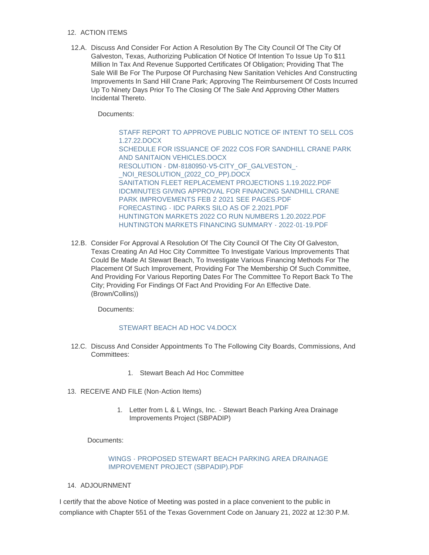#### 12. ACTION ITEMS

12.A. Discuss And Consider For Action A Resolution By The City Council Of The City Of Galveston, Texas, Authorizing Publication Of Notice Of Intention To Issue Up To \$11 Million In Tax And Revenue Supported Certificates Of Obligation; Providing That The Sale Will Be For The Purpose Of Purchasing New Sanitation Vehicles And Constructing Improvements In Sand Hill Crane Park; Approving The Reimbursement Of Costs Incurred Up To Ninety Days Prior To The Closing Of The Sale And Approving Other Matters Incidental Thereto.

Documents:

[STAFF REPORT TO APPROVE PUBLIC NOTICE OF INTENT TO SELL COS](https://www.galvestontx.gov/AgendaCenter/ViewFile/Item/13620?fileID=31879)  1.27.22.DOCX [SCHEDULE FOR ISSUANCE OF 2022 COS FOR SANDHILL CRANE PARK](https://www.galvestontx.gov/AgendaCenter/ViewFile/Item/13620?fileID=31880)  AND SANITAION VEHICLES.DOCX [RESOLUTION - DM-8180950-V5-CITY\\_OF\\_GALVESTON\\_-](https://www.galvestontx.gov/AgendaCenter/ViewFile/Item/13620?fileID=31909) NOI\_RESOLUTION\_(2022\_CO\_PP).DOCX [SANITATION FLEET REPLACEMENT PROJECTIONS 1.19.2022.PDF](https://www.galvestontx.gov/AgendaCenter/ViewFile/Item/13620?fileID=31882) [IDCMINUTES GIVING APPROVAL FOR FINANCING SANDHILL CRANE](https://www.galvestontx.gov/AgendaCenter/ViewFile/Item/13620?fileID=31883)  PARK IMPROVEMENTS FEB 2 2021 SEE PAGES.PDF [FORECASTING - IDC PARKS SILO AS OF 2.2021.PDF](https://www.galvestontx.gov/AgendaCenter/ViewFile/Item/13620?fileID=31884) [HUNTINGTON MARKETS 2022 CO RUN NUMBERS 1.20.2022.PDF](https://www.galvestontx.gov/AgendaCenter/ViewFile/Item/13620?fileID=31885) [HUNTINGTON MARKETS FINANCING SUMMARY - 2022-01-19.PDF](https://www.galvestontx.gov/AgendaCenter/ViewFile/Item/13620?fileID=31886)

12.B. Consider For Approval A Resolution Of The City Council Of The City Of Galveston, Texas Creating An Ad Hoc City Committee To Investigate Various Improvements That Could Be Made At Stewart Beach, To Investigate Various Financing Methods For The Placement Of Such Improvement, Providing For The Membership Of Such Committee, And Providing For Various Reporting Dates For The Committee To Report Back To The City; Providing For Findings Of Fact And Providing For An Effective Date. (Brown/Collins))

Documents:

# [STEWART BEACH AD HOC V4.DOCX](https://www.galvestontx.gov/AgendaCenter/ViewFile/Item/13605?fileID=31902)

- 12.C. Discuss And Consider Appointments To The Following City Boards, Commissions, And Committees:
	- 1. Stewart Beach Ad Hoc Committee
- 13. RECEIVE AND FILE (Non-Action Items)
	- 1. Letter from L & L Wings, Inc. Stewart Beach Parking Area Drainage Improvements Project (SBPADIP)

Documents:

# [WINGS - PROPOSED STEWART BEACH PARKING AREA DRAINAGE](https://www.galvestontx.gov/AgendaCenter/ViewFile/Item/13574?fileID=31887)  IMPROVEMENT PROJECT (SBPADIP).PDF

14. ADJOURNMENT

I certify that the above Notice of Meeting was posted in a place convenient to the public in compliance with Chapter 551 of the Texas Government Code on January 21, 2022 at 12:30 P.M.